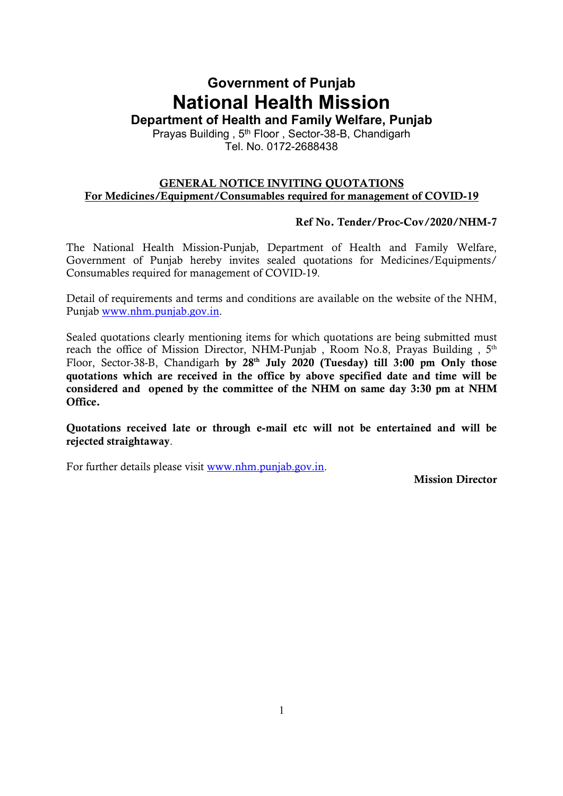# Government of Punjab National Health Mission

Department of Health and Family Welfare, Punjab

Prayas Building, 5<sup>th</sup> Floor, Sector-38-B, Chandigarh Tel. No. 0172-2688438

#### GENERAL NOTICE INVITING QUOTATIONS For Medicines/Equipment/Consumables required for management of COVID-19

#### Ref No. Tender/Proc-Cov/2020/NHM-7

The National Health Mission-Punjab, Department of Health and Family Welfare, Government of Punjab hereby invites sealed quotations for Medicines/Equipments/ Consumables required for management of COVID-19.

Detail of requirements and terms and conditions are available on the website of the NHM, Punjab www.nhm.punjab.gov.in.

Sealed quotations clearly mentioning items for which quotations are being submitted must reach the office of Mission Director, NHM-Punjab , Room No.8, Prayas Building , 5<sup>th</sup> Floor, Sector-38-B, Chandigarh by  $28<sup>th</sup>$  July 2020 (Tuesday) till 3:00 pm Only those quotations which are received in the office by above specified date and time will be considered and opened by the committee of the NHM on same day 3:30 pm at NHM Office.

Quotations received late or through e-mail etc will not be entertained and will be rejected straightaway.

For further details please visit www.nhm.punjab.gov.in.

Mission Director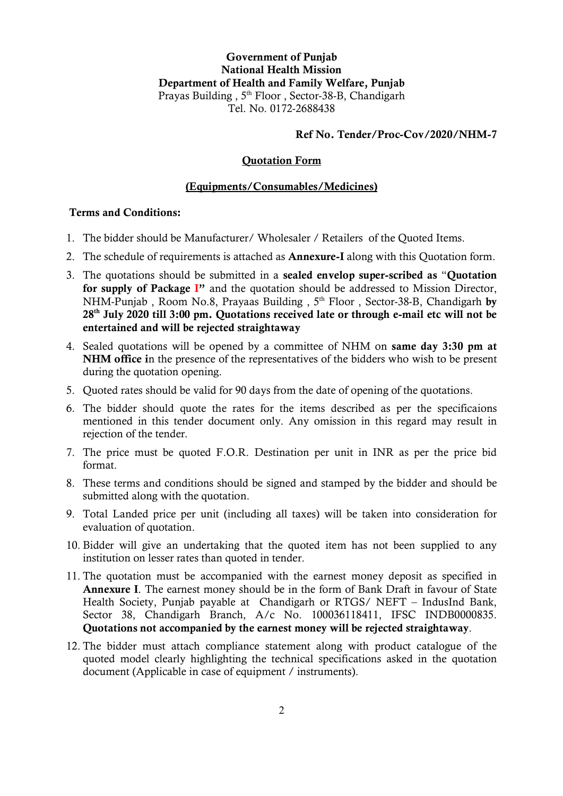#### Ref No. Tender/Proc-Cov/2020/NHM-7

#### Quotation Form

#### (Equipments/Consumables/Medicines)

#### Terms and Conditions:

- 1. The bidder should be Manufacturer/ Wholesaler / Retailers of the Quoted Items.
- 2. The schedule of requirements is attached as **Annexure-I** along with this Quotation form.
- 3. The quotations should be submitted in a sealed envelop super-scribed as "Quotation for supply of Package I" and the quotation should be addressed to Mission Director, NHM-Punjab, Room No.8, Prayaas Building, 5<sup>th</sup> Floor, Sector-38-B, Chandigarh by 28<sup>th</sup> July 2020 till 3:00 pm. Quotations received late or through e-mail etc will not be entertained and will be rejected straightaway
- 4. Sealed quotations will be opened by a committee of NHM on same day 3:30 pm at NHM office in the presence of the representatives of the bidders who wish to be present during the quotation opening.
- 5. Quoted rates should be valid for 90 days from the date of opening of the quotations.
- 6. The bidder should quote the rates for the items described as per the specificaions mentioned in this tender document only. Any omission in this regard may result in rejection of the tender.
- 7. The price must be quoted F.O.R. Destination per unit in INR as per the price bid format.
- 8. These terms and conditions should be signed and stamped by the bidder and should be submitted along with the quotation.
- 9. Total Landed price per unit (including all taxes) will be taken into consideration for evaluation of quotation.
- 10. Bidder will give an undertaking that the quoted item has not been supplied to any institution on lesser rates than quoted in tender.
- 11. The quotation must be accompanied with the earnest money deposit as specified in Annexure I. The earnest money should be in the form of Bank Draft in favour of State Health Society, Punjab payable at Chandigarh or RTGS/ NEFT – IndusInd Bank, Sector 38, Chandigarh Branch, A/c No. 100036118411, IFSC INDB0000835. Quotations not accompanied by the earnest money will be rejected straightaway.
- 12. The bidder must attach compliance statement along with product catalogue of the quoted model clearly highlighting the technical specifications asked in the quotation document (Applicable in case of equipment / instruments).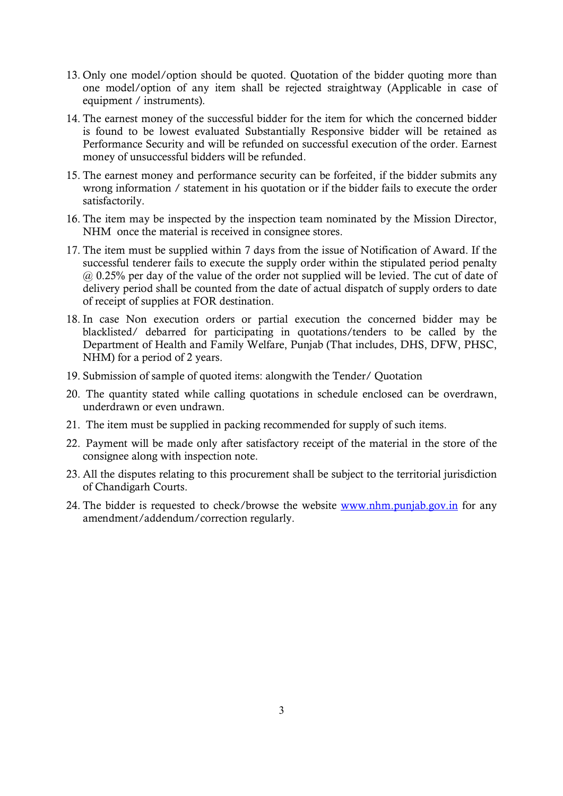- 13. Only one model/option should be quoted. Quotation of the bidder quoting more than one model/option of any item shall be rejected straightway (Applicable in case of equipment / instruments).
- 14. The earnest money of the successful bidder for the item for which the concerned bidder is found to be lowest evaluated Substantially Responsive bidder will be retained as Performance Security and will be refunded on successful execution of the order. Earnest money of unsuccessful bidders will be refunded.
- 15. The earnest money and performance security can be forfeited, if the bidder submits any wrong information / statement in his quotation or if the bidder fails to execute the order satisfactorily.
- 16. The item may be inspected by the inspection team nominated by the Mission Director, NHM once the material is received in consignee stores.
- 17. The item must be supplied within 7 days from the issue of Notification of Award. If the successful tenderer fails to execute the supply order within the stipulated period penalty @ 0.25% per day of the value of the order not supplied will be levied. The cut of date of delivery period shall be counted from the date of actual dispatch of supply orders to date of receipt of supplies at FOR destination.
- 18. In case Non execution orders or partial execution the concerned bidder may be blacklisted/ debarred for participating in quotations/tenders to be called by the Department of Health and Family Welfare, Punjab (That includes, DHS, DFW, PHSC, NHM) for a period of 2 years.
- 19. Submission of sample of quoted items: alongwith the Tender/ Quotation
- 20. The quantity stated while calling quotations in schedule enclosed can be overdrawn, underdrawn or even undrawn.
- 21. The item must be supplied in packing recommended for supply of such items.
- 22. Payment will be made only after satisfactory receipt of the material in the store of the consignee along with inspection note.
- 23. All the disputes relating to this procurement shall be subject to the territorial jurisdiction of Chandigarh Courts.
- 24. The bidder is requested to check/browse the website www.nhm.punjab.gov.in for any amendment/addendum/correction regularly.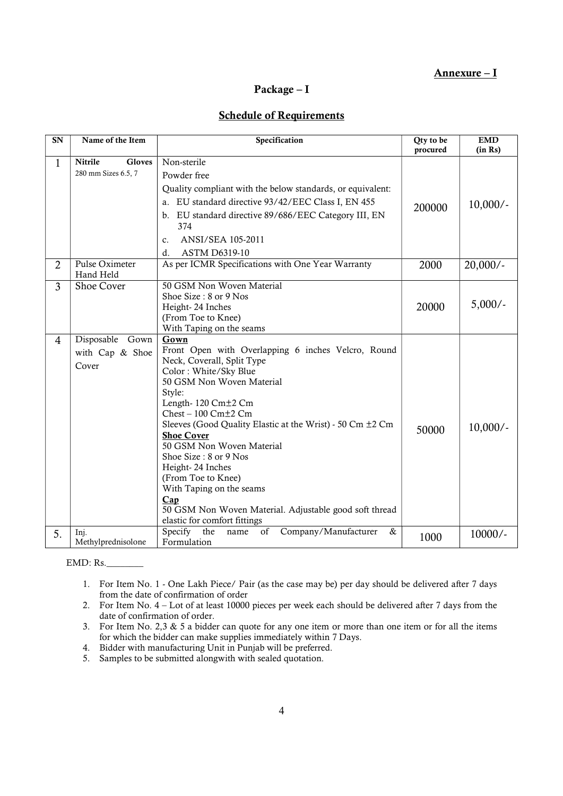#### Annexure – I

#### Package – I

#### Schedule of Requirements

| SN             | Name of the Item                                | Specification                                                                                                                                                                                                                                                                                                                                                                                                                                                                                                                          | Qty to be<br>procured | <b>EMD</b><br>(in Rs) |
|----------------|-------------------------------------------------|----------------------------------------------------------------------------------------------------------------------------------------------------------------------------------------------------------------------------------------------------------------------------------------------------------------------------------------------------------------------------------------------------------------------------------------------------------------------------------------------------------------------------------------|-----------------------|-----------------------|
| 1              | Nitrile<br><b>Gloves</b><br>280 mm Sizes 6.5, 7 | Non-sterile<br>Powder free<br>Quality compliant with the below standards, or equivalent:<br>a. EU standard directive 93/42/EEC Class I, EN 455<br>b. EU standard directive 89/686/EEC Category III, EN<br>374<br>ANSI/SEA 105-2011<br>c.<br>ASTM D6319-10<br>d.                                                                                                                                                                                                                                                                        | 200000                | $10,000/-$            |
| $\overline{2}$ | Pulse Oximeter<br>Hand Held                     | As per ICMR Specifications with One Year Warranty                                                                                                                                                                                                                                                                                                                                                                                                                                                                                      | 2000                  | $20,000/-$            |
| 3              | <b>Shoe Cover</b>                               | 50 GSM Non Woven Material<br>Shoe Size: 8 or 9 Nos<br>Height-24 Inches<br>(From Toe to Knee)<br>With Taping on the seams                                                                                                                                                                                                                                                                                                                                                                                                               | 20000                 | $5,000/-$             |
| 4              | Disposable Gown<br>with Cap & Shoe<br>Cover     | Gown<br>Front Open with Overlapping 6 inches Velcro, Round<br>Neck, Coverall, Split Type<br>Color: White/Sky Blue<br>50 GSM Non Woven Material<br>Style:<br>Length-120 Cm <sup>+2</sup> Cm<br>$Check - 100$ $Cm+2$ $Cm$<br>Sleeves (Good Quality Elastic at the Wrist) - 50 Cm ±2 Cm<br><b>Shoe Cover</b><br>50 GSM Non Woven Material<br>Shoe Size: 8 or 9 Nos<br>Height-24 Inches<br>(From Toe to Knee)<br>With Taping on the seams<br>Cap<br>50 GSM Non Woven Material. Adjustable good soft thread<br>elastic for comfort fittings | 50000                 | $10,000/-$            |
| 5.             | Inj.<br>Methylprednisolone                      | Specify<br>the<br>Company/Manufacturer<br>of<br>&<br>name<br>Formulation                                                                                                                                                                                                                                                                                                                                                                                                                                                               | 1000                  | 10000/-               |

EMD: Rs.\_\_\_\_\_\_\_\_

- 1. For Item No. 1 One Lakh Piece/ Pair (as the case may be) per day should be delivered after 7 days from the date of confirmation of order
- 2. For Item No. 4 Lot of at least 10000 pieces per week each should be delivered after 7 days from the date of confirmation of order.
- 3. For Item No. 2,3 & 5 a bidder can quote for any one item or more than one item or for all the items for which the bidder can make supplies immediately within 7 Days.
- 4. Bidder with manufacturing Unit in Punjab will be preferred.
- 5. Samples to be submitted alongwith with sealed quotation.